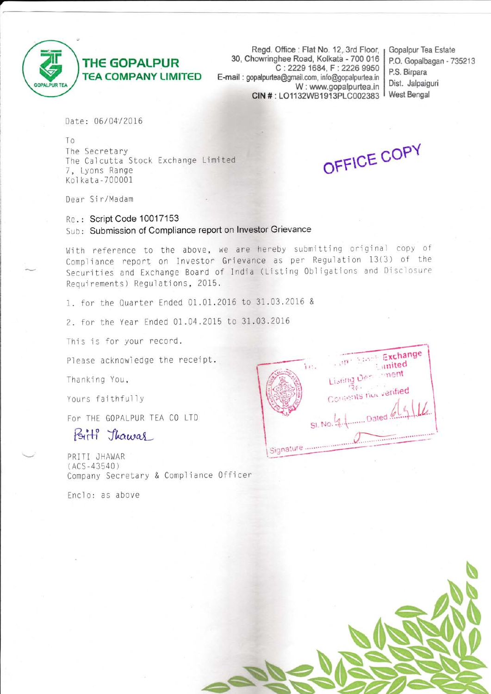

## **THE GOPALPUR TEA COMPANY LIMITED**

Regd. Office: Flat No. 12, 3rd Floor, 30, Chowringhee Road, Kolkata - 700 016 C: 2229 1684, F: 2226 9950 E-mail: gopalpurtea@gmail.com, info@gopalpurtea.in W: www.gopalpurtea.in CIN #: LO1132WB1913PLC002383

Gopalpur Tea Estate P.O. Gopalbagan - 735213 P.S. Birpara Dist. Jalpaiguri **West Bengal** 

Date: 06/04/2016

To The Secretary The Calcutta Stock Exchange Limited 7, Lyons Range Kolkata-700001

OFFICE COPY

Dear Sir/Madam

Re.: Script Code 10017153 Sub: Submission of Compliance report on Investor Grievance

With reference to the above, we are hereby submitting original copy of Compliance report on Investor Grievance as per Regulation 13(3) of the Securities and Exchange Board of India (Listing Obligations and Disclosure Requirements) Regulations, 2015.

1. for the Quarter Ended 01.01.2016 to 31.03.2016 &

2. for the Year Ended 01.04.2015 to 31.03.2016

This is for your record.

Please acknowledge the receipt.

Thanking You,

Yours faithfully

For THE GOPALPUR TEA CO LTD

## Birth Thawas

PRITI JHAWAR  $(ACS - 43540)$ Company Secretary & Compliance Officer

Enclo: as above